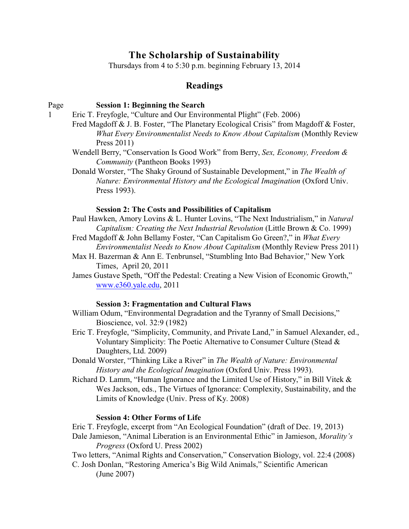# **The Scholarship of Sustainability**

Thursdays from 4 to 5:30 p.m. beginning February 13, 2014

# **Readings**

#### Page **Session 1: Beginning the Search**

- 1 Eric T. Freyfogle, "Culture and Our Environmental Plight" (Feb. 2006)
	- Fred Magdoff & J. B. Foster, "The Planetary Ecological Crisis" from Magdoff & Foster, *What Every Environmentalist Needs to Know About Capitalism* (Monthly Review Press 2011)
	- Wendell Berry, "Conservation Is Good Work" from Berry, *Sex, Economy, Freedom & Community* (Pantheon Books 1993)
	- Donald Worster, "The Shaky Ground of Sustainable Development," in *The Wealth of Nature: Environmental History and the Ecological Imagination* (Oxford Univ. Press 1993).

## **Session 2: The Costs and Possibilities of Capitalism**

- Paul Hawken, Amory Lovins & L. Hunter Lovins, "The Next Industrialism," in *Natural Capitalism: Creating the Next Industrial Revolution* (Little Brown & Co. 1999)
- Fred Magdoff & John Bellamy Foster, "Can Capitalism Go Green?," in *What Every Environmentalist Needs to Know About Capitalism* (Monthly Review Press 2011)
- Max H. Bazerman & Ann E. Tenbrunsel, "Stumbling Into Bad Behavior," New York Times, April 20, 2011
- James Gustave Speth, "Off the Pedestal: Creating a New Vision of Economic Growth," [www.e360.yale.edu](http://www.e360.yale.edu), 2011

# **Session 3: Fragmentation and Cultural Flaws**

- William Odum, "Environmental Degradation and the Tyranny of Small Decisions," Bioscience, vol. 32:9 (1982)
- Eric T. Freyfogle, "Simplicity, Community, and Private Land," in Samuel Alexander, ed., Voluntary Simplicity: The Poetic Alternative to Consumer Culture (Stead & Daughters, Ltd. 2009)
- Donald Worster, "Thinking Like a River" in *The Wealth of Nature: Environmental History and the Ecological Imagination* (Oxford Univ. Press 1993).
- Richard D. Lamm, "Human Ignorance and the Limited Use of History," in Bill Vitek  $\&$ Wes Jackson, eds., The Virtues of Ignorance: Complexity, Sustainability, and the Limits of Knowledge (Univ. Press of Ky. 2008)

#### **Session 4: Other Forms of Life**

Eric T. Freyfogle, excerpt from "An Ecological Foundation" (draft of Dec. 19, 2013)

Dale Jamieson, "Animal Liberation is an Environmental Ethic" in Jamieson, *Morality's Progress* (Oxford U. Press 2002)

Two letters, "Animal Rights and Conservation," Conservation Biology, vol. 22:4 (2008) C. Josh Donlan, "Restoring America's Big Wild Animals," Scientific American

(June 2007)